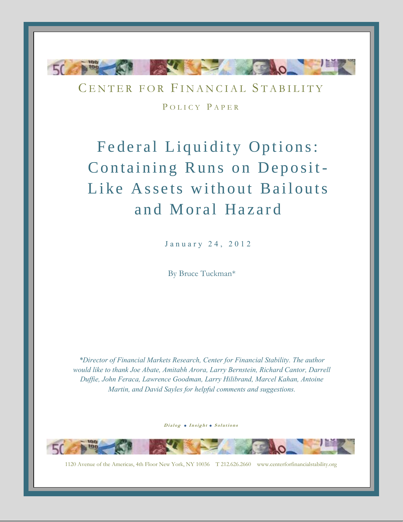

CENTER FOR FINANCIAL STABILITY POLICY PAPER

Federal Liquidity Options: Containing Runs on Deposit-Like Assets without Bailouts and Moral Hazard

January 24, 2012

By Bruce Tuckman\*

*\*Director of Financial Markets Research, Center for Financial Stability. The author would like to thank Joe Abate, Amitabh Arora, Larry Bernstein, Richard Cantor, Darrell Duffie, John Feraca, Lawrence Goodman, Larry Hilibrand, Marcel Kahan, Antoine Martin, and David Sayles for helpful comments and suggestions.*

Dialog . Insight . Solutions

1120 Avenue of the Americas, 4th Floor New York, NY 10036 T 212.626.2660 www.centerforfinancialstability.org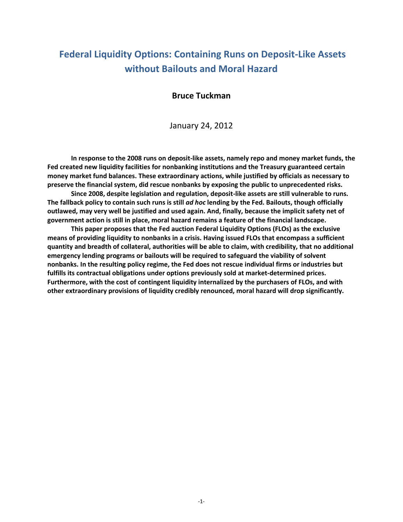# **Federal Liquidity Options: Containing Runs on Deposit-Like Assets without Bailouts and Moral Hazard**

# **Bruce Tuckman**

January 24, 2012

**In response to the 2008 runs on deposit-like assets, namely repo and money market funds, the Fed created new liquidity facilities for nonbanking institutions and the Treasury guaranteed certain money market fund balances. These extraordinary actions, while justified by officials as necessary to preserve the financial system, did rescue nonbanks by exposing the public to unprecedented risks.**

**Since 2008, despite legislation and regulation, deposit-like assets are still vulnerable to runs. The fallback policy to contain such runs is still** *ad hoc* **lending by the Fed. Bailouts, though officially outlawed, may very well be justified and used again. And, finally, because the implicit safety net of government action is still in place, moral hazard remains a feature of the financial landscape.**

**This paper proposes that the Fed auction Federal Liquidity Options (FLOs) as the exclusive means of providing liquidity to nonbanks in a crisis. Having issued FLOs that encompass a sufficient quantity and breadth of collateral, authorities will be able to claim, with credibility, that no additional emergency lending programs or bailouts will be required to safeguard the viability of solvent nonbanks. In the resulting policy regime, the Fed does not rescue individual firms or industries but fulfills its contractual obligations under options previously sold at market-determined prices. Furthermore, with the cost of contingent liquidity internalized by the purchasers of FLOs, and with other extraordinary provisions of liquidity credibly renounced, moral hazard will drop significantly.**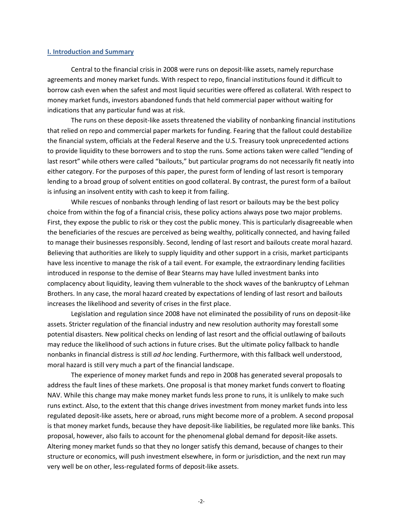#### **I. Introduction and Summary**

Central to the financial crisis in 2008 were runs on deposit-like assets, namely repurchase agreements and money market funds. With respect to repo, financial institutions found it difficult to borrow cash even when the safest and most liquid securities were offered as collateral. With respect to money market funds, investors abandoned funds that held commercial paper without waiting for indications that any particular fund was at risk.

The runs on these deposit-like assets threatened the viability of nonbanking financial institutions that relied on repo and commercial paper markets for funding. Fearing that the fallout could destabilize the financial system, officials at the Federal Reserve and the U.S. Treasury took unprecedented actions to provide liquidity to these borrowers and to stop the runs. Some actions taken were called "lending of last resort" while others were called "bailouts," but particular programs do not necessarily fit neatly into either category. For the purposes of this paper, the purest form of lending of last resort is temporary lending to a broad group of solvent entities on good collateral. By contrast, the purest form of a bailout is infusing an insolvent entity with cash to keep it from failing.

While rescues of nonbanks through lending of last resort or bailouts may be the best policy choice from within the fog of a financial crisis, these policy actions always pose two major problems. First, they expose the public to risk or they cost the public money. This is particularly disagreeable when the beneficiaries of the rescues are perceived as being wealthy, politically connected, and having failed to manage their businesses responsibly. Second, lending of last resort and bailouts create moral hazard. Believing that authorities are likely to supply liquidity and other support in a crisis, market participants have less incentive to manage the risk of a tail event. For example, the extraordinary lending facilities introduced in response to the demise of Bear Stearns may have lulled investment banks into complacency about liquidity, leaving them vulnerable to the shock waves of the bankruptcy of Lehman Brothers. In any case, the moral hazard created by expectations of lending of last resort and bailouts increases the likelihood and severity of crises in the first place.

Legislation and regulation since 2008 have not eliminated the possibility of runs on deposit-like assets. Stricter regulation of the financial industry and new resolution authority may forestall some potential disasters. New political checks on lending of last resort and the official outlawing of bailouts may reduce the likelihood of such actions in future crises. But the ultimate policy fallback to handle nonbanks in financial distress is still *ad hoc* lending. Furthermore, with this fallback well understood, moral hazard is still very much a part of the financial landscape.

The experience of money market funds and repo in 2008 has generated several proposals to address the fault lines of these markets. One proposal is that money market funds convert to floating NAV. While this change may make money market funds less prone to runs, it is unlikely to make such runs extinct. Also, to the extent that this change drives investment from money market funds into less regulated deposit-like assets, here or abroad, runs might become more of a problem. A second proposal is that money market funds, because they have deposit-like liabilities, be regulated more like banks. This proposal, however, also fails to account for the phenomenal global demand for deposit-like assets. Altering money market funds so that they no longer satisfy this demand, because of changes to their structure or economics, will push investment elsewhere, in form or jurisdiction, and the next run may very well be on other, less-regulated forms of deposit-like assets.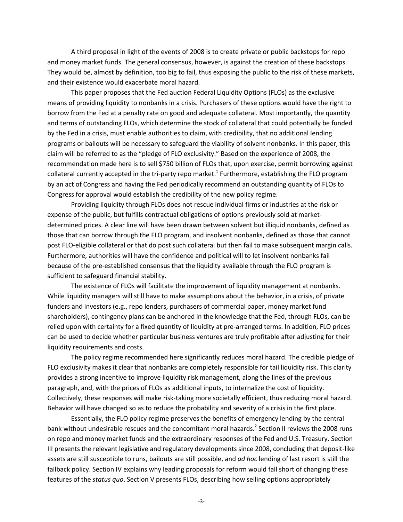A third proposal in light of the events of 2008 is to create private or public backstops for repo and money market funds. The general consensus, however, is against the creation of these backstops. They would be, almost by definition, too big to fail, thus exposing the public to the risk of these markets, and their existence would exacerbate moral hazard.

This paper proposes that the Fed auction Federal Liquidity Options (FLOs) as the exclusive means of providing liquidity to nonbanks in a crisis. Purchasers of these options would have the right to borrow from the Fed at a penalty rate on good and adequate collateral. Most importantly, the quantity and terms of outstanding FLOs, which determine the stock of collateral that could potentially be funded by the Fed in a crisis, must enable authorities to claim, with credibility, that no additional lending programs or bailouts will be necessary to safeguard the viability of solvent nonbanks. In this paper, this claim will be referred to as the "pledge of FLO exclusivity." Based on the experience of 2008, the recommendation made here is to sell \$750 billion of FLOs that, upon exercise, permit borrowing against collateral currently accepted in the tri-party repo market.<sup>1</sup> Furthermore, establishing the FLO program by an act of Congress and having the Fed periodically recommend an outstanding quantity of FLOs to Congress for approval would establish the credibility of the new policy regime.

Providing liquidity through FLOs does not rescue individual firms or industries at the risk or expense of the public, but fulfills contractual obligations of options previously sold at marketdetermined prices. A clear line will have been drawn between solvent but illiquid nonbanks, defined as those that can borrow through the FLO program, and insolvent nonbanks, defined as those that cannot post FLO-eligible collateral or that do post such collateral but then fail to make subsequent margin calls. Furthermore, authorities will have the confidence and political will to let insolvent nonbanks fail because of the pre-established consensus that the liquidity available through the FLO program is sufficient to safeguard financial stability.

The existence of FLOs will facilitate the improvement of liquidity management at nonbanks. While liquidity managers will still have to make assumptions about the behavior, in a crisis, of private funders and investors (e.g., repo lenders, purchasers of commercial paper, money market fund shareholders), contingency plans can be anchored in the knowledge that the Fed, through FLOs, can be relied upon with certainty for a fixed quantity of liquidity at pre-arranged terms. In addition, FLO prices can be used to decide whether particular business ventures are truly profitable after adjusting for their liquidity requirements and costs.

The policy regime recommended here significantly reduces moral hazard. The credible pledge of FLO exclusivity makes it clear that nonbanks are completely responsible for tail liquidity risk. This clarity provides a strong incentive to improve liquidity risk management, along the lines of the previous paragraph, and, with the prices of FLOs as additional inputs, to internalize the cost of liquidity. Collectively, these responses will make risk-taking more societally efficient, thus reducing moral hazard. Behavior will have changed so as to reduce the probability and severity of a crisis in the first place.

Essentially, the FLO policy regime preserves the benefits of emergency lending by the central bank without undesirable rescues and the concomitant moral hazards.<sup>2</sup> Section II reviews the 2008 runs on repo and money market funds and the extraordinary responses of the Fed and U.S. Treasury. Section III presents the relevant legislative and regulatory developments since 2008, concluding that deposit-like assets are still susceptible to runs, bailouts are still possible, and *ad hoc* lending of last resort is still the fallback policy. Section IV explains why leading proposals for reform would fall short of changing these features of the *status quo*. Section V presents FLOs, describing how selling options appropriately

-3-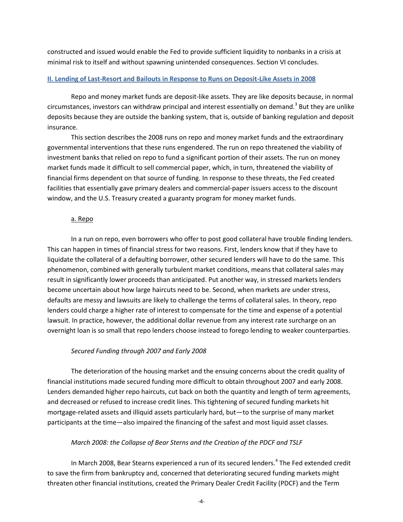constructed and issued would enable the Fed to provide sufficient liquidity to nonbanks in a crisis at minimal risk to itself and without spawning unintended consequences. Section VI concludes.

## **II. Lending of Last-Resort and Bailouts in Response to Runs on Deposit-Like Assets in 2008**

Repo and money market funds are deposit-like assets. They are like deposits because, in normal circumstances, investors can withdraw principal and interest essentially on demand.<sup>3</sup> But they are unlike deposits because they are outside the banking system, that is, outside of banking regulation and deposit insurance.

This section describes the 2008 runs on repo and money market funds and the extraordinary governmental interventions that these runs engendered. The run on repo threatened the viability of investment banks that relied on repo to fund a significant portion of their assets. The run on money market funds made it difficult to sell commercial paper, which, in turn, threatened the viability of financial firms dependent on that source of funding. In response to these threats, the Fed created facilities that essentially gave primary dealers and commercial-paper issuers access to the discount window, and the U.S. Treasury created a guaranty program for money market funds.

# a. Repo

In a run on repo, even borrowers who offer to post good collateral have trouble finding lenders. This can happen in times of financial stress for two reasons. First, lenders know that if they have to liquidate the collateral of a defaulting borrower, other secured lenders will have to do the same. This phenomenon, combined with generally turbulent market conditions, means that collateral sales may result in significantly lower proceeds than anticipated. Put another way, in stressed markets lenders become uncertain about how large haircuts need to be. Second, when markets are under stress, defaults are messy and lawsuits are likely to challenge the terms of collateral sales. In theory, repo lenders could charge a higher rate of interest to compensate for the time and expense of a potential lawsuit. In practice, however, the additional dollar revenue from any interest rate surcharge on an overnight loan is so small that repo lenders choose instead to forego lending to weaker counterparties.

# *Secured Funding through 2007 and Early 2008*

The deterioration of the housing market and the ensuing concerns about the credit quality of financial institutions made secured funding more difficult to obtain throughout 2007 and early 2008. Lenders demanded higher repo haircuts, cut back on both the quantity and length of term agreements, and decreased or refused to increase credit lines. This tightening of secured funding markets hit mortgage-related assets and illiquid assets particularly hard, but—to the surprise of many market participants at the time—also impaired the financing of the safest and most liquid asset classes.

# *March 2008: the Collapse of Bear Sterns and the Creation of the PDCF and TSLF*

In March 2008, Bear Stearns experienced a run of its secured lenders.<sup>4</sup> The Fed extended credit to save the firm from bankruptcy and, concerned that deteriorating secured funding markets might threaten other financial institutions, created the Primary Dealer Credit Facility (PDCF) and the Term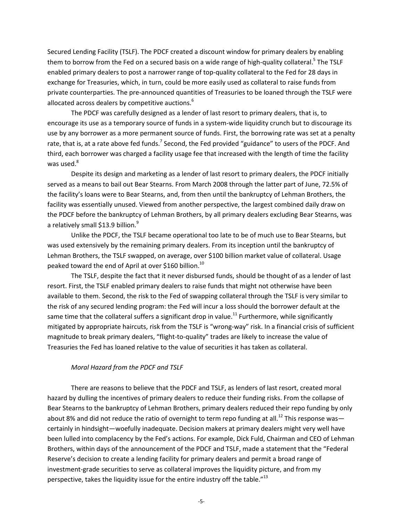Secured Lending Facility (TSLF). The PDCF created a discount window for primary dealers by enabling them to borrow from the Fed on a secured basis on a wide range of high-quality collateral.<sup>5</sup> The TSLF enabled primary dealers to post a narrower range of top-quality collateral to the Fed for 28 days in exchange for Treasuries, which, in turn, could be more easily used as collateral to raise funds from private counterparties. The pre-announced quantities of Treasuries to be loaned through the TSLF were allocated across dealers by competitive auctions.<sup>6</sup>

The PDCF was carefully designed as a lender of last resort to primary dealers, that is, to encourage its use as a temporary source of funds in a system-wide liquidity crunch but to discourage its use by any borrower as a more permanent source of funds. First, the borrowing rate was set at a penalty rate, that is, at a rate above fed funds.<sup>7</sup> Second, the Fed provided "guidance" to users of the PDCF. And third, each borrower was charged a facility usage fee that increased with the length of time the facility was used. $8$ 

Despite its design and marketing as a lender of last resort to primary dealers, the PDCF initially served as a means to bail out Bear Stearns. From March 2008 through the latter part of June, 72.5% of the facility's loans were to Bear Stearns, and, from then until the bankruptcy of Lehman Brothers, the facility was essentially unused. Viewed from another perspective, the largest combined daily draw on the PDCF before the bankruptcy of Lehman Brothers, by all primary dealers excluding Bear Stearns, was a relatively small \$13.9 billion.<sup>9</sup>

Unlike the PDCF, the TSLF became operational too late to be of much use to Bear Stearns, but was used extensively by the remaining primary dealers. From its inception until the bankruptcy of Lehman Brothers, the TSLF swapped, on average, over \$100 billion market value of collateral. Usage peaked toward the end of April at over \$160 billion.<sup>10</sup>

The TSLF, despite the fact that it never disbursed funds, should be thought of as a lender of last resort. First, the TSLF enabled primary dealers to raise funds that might not otherwise have been available to them. Second, the risk to the Fed of swapping collateral through the TSLF is very similar to the risk of any secured lending program: the Fed will incur a loss should the borrower default at the same time that the collateral suffers a significant drop in value.<sup>11</sup> Furthermore, while significantly mitigated by appropriate haircuts, risk from the TSLF is "wrong-way" risk. In a financial crisis of sufficient magnitude to break primary dealers, "flight-to-quality" trades are likely to increase the value of Treasuries the Fed has loaned relative to the value of securities it has taken as collateral.

#### *Moral Hazard from the PDCF and TSLF*

There are reasons to believe that the PDCF and TSLF, as lenders of last resort, created moral hazard by dulling the incentives of primary dealers to reduce their funding risks. From the collapse of Bear Stearns to the bankruptcy of Lehman Brothers, primary dealers reduced their repo funding by only about 8% and did not reduce the ratio of overnight to term repo funding at all.<sup>12</sup> This response was certainly in hindsight—woefully inadequate. Decision makers at primary dealers might very well have been lulled into complacency by the Fed's actions. For example, Dick Fuld, Chairman and CEO of Lehman Brothers, within days of the announcement of the PDCF and TSLF, made a statement that the "Federal Reserve's decision to create a lending facility for primary dealers and permit a broad range of investment-grade securities to serve as collateral improves the liquidity picture, and from my perspective, takes the liquidity issue for the entire industry off the table."<sup>13</sup>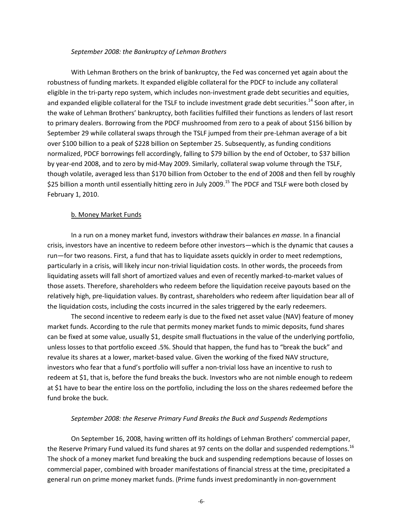#### *September 2008: the Bankruptcy of Lehman Brothers*

With Lehman Brothers on the brink of bankruptcy, the Fed was concerned yet again about the robustness of funding markets. It expanded eligible collateral for the PDCF to include any collateral eligible in the tri-party repo system, which includes non-investment grade debt securities and equities, and expanded eligible collateral for the TSLF to include investment grade debt securities.<sup>14</sup> Soon after, in the wake of Lehman Brothers' bankruptcy, both facilities fulfilled their functions as lenders of last resort to primary dealers. Borrowing from the PDCF mushroomed from zero to a peak of about \$156 billion by September 29 while collateral swaps through the TSLF jumped from their pre-Lehman average of a bit over \$100 billion to a peak of \$228 billion on September 25. Subsequently, as funding conditions normalized, PDCF borrowings fell accordingly, falling to \$79 billion by the end of October, to \$37 billion by year-end 2008, and to zero by mid-May 2009. Similarly, collateral swap volume through the TSLF, though volatile, averaged less than \$170 billion from October to the end of 2008 and then fell by roughly \$25 billion a month until essentially hitting zero in July 2009.<sup>15</sup> The PDCF and TSLF were both closed by February 1, 2010.

## b. Money Market Funds

In a run on a money market fund, investors withdraw their balances *en masse*. In a financial crisis, investors have an incentive to redeem before other investors—which is the dynamic that causes a run—for two reasons. First, a fund that has to liquidate assets quickly in order to meet redemptions, particularly in a crisis, will likely incur non-trivial liquidation costs. In other words, the proceeds from liquidating assets will fall short of amortized values and even of recently marked-to-market values of those assets. Therefore, shareholders who redeem before the liquidation receive payouts based on the relatively high, pre-liquidation values. By contrast, shareholders who redeem after liquidation bear all of the liquidation costs, including the costs incurred in the sales triggered by the early redeemers.

The second incentive to redeem early is due to the fixed net asset value (NAV) feature of money market funds. According to the rule that permits money market funds to mimic deposits, fund shares can be fixed at some value, usually \$1, despite small fluctuations in the value of the underlying portfolio, unless losses to that portfolio exceed .5%. Should that happen, the fund has to "break the buck" and revalue its shares at a lower, market-based value. Given the working of the fixed NAV structure, investors who fear that a fund's portfolio will suffer a non-trivial loss have an incentive to rush to redeem at \$1, that is, before the fund breaks the buck. Investors who are not nimble enough to redeem at \$1 have to bear the entire loss on the portfolio, including the loss on the shares redeemed before the fund broke the buck.

## *September 2008: the Reserve Primary Fund Breaks the Buck and Suspends Redemptions*

On September 16, 2008, having written off its holdings of Lehman Brothers' commercial paper, the Reserve Primary Fund valued its fund shares at 97 cents on the dollar and suspended redemptions.<sup>16</sup> The shock of a money market fund breaking the buck and suspending redemptions because of losses on commercial paper, combined with broader manifestations of financial stress at the time, precipitated a general run on prime money market funds. (Prime funds invest predominantly in non-government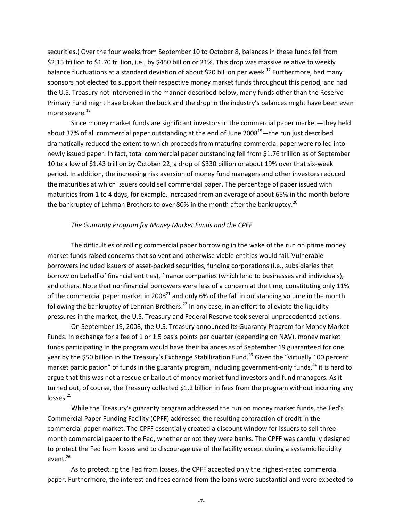securities.) Over the four weeks from September 10 to October 8, balances in these funds fell from \$2.15 trillion to \$1.70 trillion, i.e., by \$450 billion or 21%. This drop was massive relative to weekly balance fluctuations at a standard deviation of about \$20 billion per week.<sup>17</sup> Furthermore, had many sponsors not elected to support their respective money market funds throughout this period, and had the U.S. Treasury not intervened in the manner described below, many funds other than the Reserve Primary Fund might have broken the buck and the drop in the industry's balances might have been even more severe.<sup>18</sup>

Since money market funds are significant investors in the commercial paper market—they held about 37% of all commercial paper outstanding at the end of June  $2008^{19}$ —the run just described dramatically reduced the extent to which proceeds from maturing commercial paper were rolled into newly issued paper. In fact, total commercial paper outstanding fell from \$1.76 trillion as of September 10 to a low of \$1.43 trillion by October 22, a drop of \$330 billion or about 19% over that six-week period. In addition, the increasing risk aversion of money fund managers and other investors reduced the maturities at which issuers could sell commercial paper. The percentage of paper issued with maturities from 1 to 4 days, for example, increased from an average of about 65% in the month before the bankruptcy of Lehman Brothers to over 80% in the month after the bankruptcy.<sup>20</sup>

# *The Guaranty Program for Money Market Funds and the CPFF*

The difficulties of rolling commercial paper borrowing in the wake of the run on prime money market funds raised concerns that solvent and otherwise viable entities would fail. Vulnerable borrowers included issuers of asset-backed securities, funding corporations (i.e., subsidiaries that borrow on behalf of financial entities), finance companies (which lend to businesses and individuals), and others. Note that nonfinancial borrowers were less of a concern at the time, constituting only 11% of the commercial paper market in 2008<sup>21</sup> and only 6% of the fall in outstanding volume in the month following the bankruptcy of Lehman Brothers.<sup>22</sup> In any case, in an effort to alleviate the liquidity pressures in the market, the U.S. Treasury and Federal Reserve took several unprecedented actions.

On September 19, 2008, the U.S. Treasury announced its Guaranty Program for Money Market Funds. In exchange for a fee of 1 or 1.5 basis points per quarter (depending on NAV), money market funds participating in the program would have their balances as of September 19 guaranteed for one year by the \$50 billion in the Treasury's Exchange Stabilization Fund.<sup>23</sup> Given the "virtually 100 percent market participation" of funds in the guaranty program, including government-only funds, $^{24}$  it is hard to argue that this was not a rescue or bailout of money market fund investors and fund managers. As it turned out, of course, the Treasury collected \$1.2 billion in fees from the program without incurring any losses.<sup>25</sup>

While the Treasury's guaranty program addressed the run on money market funds, the Fed's Commercial Paper Funding Facility (CPFF) addressed the resulting contraction of credit in the commercial paper market. The CPFF essentially created a discount window for issuers to sell threemonth commercial paper to the Fed, whether or not they were banks. The CPFF was carefully designed to protect the Fed from losses and to discourage use of the facility except during a systemic liquidity event.<sup>26</sup>

As to protecting the Fed from losses, the CPFF accepted only the highest-rated commercial paper. Furthermore, the interest and fees earned from the loans were substantial and were expected to

-7-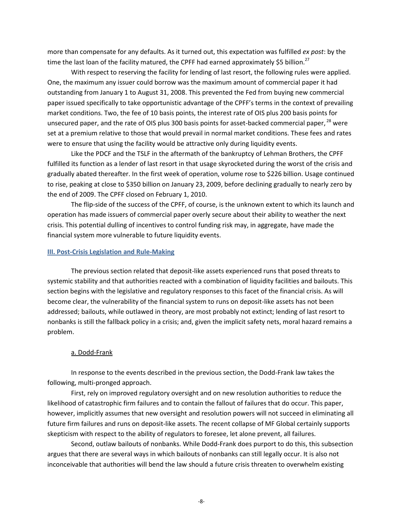more than compensate for any defaults. As it turned out, this expectation was fulfilled *ex post*: by the time the last loan of the facility matured, the CPFF had earned approximately \$5 billion.<sup>27</sup>

With respect to reserving the facility for lending of last resort, the following rules were applied. One, the maximum any issuer could borrow was the maximum amount of commercial paper it had outstanding from January 1 to August 31, 2008. This prevented the Fed from buying new commercial paper issued specifically to take opportunistic advantage of the CPFF's terms in the context of prevailing market conditions. Two, the fee of 10 basis points, the interest rate of OIS plus 200 basis points for unsecured paper, and the rate of OIS plus 300 basis points for asset-backed commercial paper, <sup>28</sup> were set at a premium relative to those that would prevail in normal market conditions. These fees and rates were to ensure that using the facility would be attractive only during liquidity events.

Like the PDCF and the TSLF in the aftermath of the bankruptcy of Lehman Brothers, the CPFF fulfilled its function as a lender of last resort in that usage skyrocketed during the worst of the crisis and gradually abated thereafter. In the first week of operation, volume rose to \$226 billion. Usage continued to rise, peaking at close to \$350 billion on January 23, 2009, before declining gradually to nearly zero by the end of 2009. The CPFF closed on February 1, 2010.

The flip-side of the success of the CPFF, of course, is the unknown extent to which its launch and operation has made issuers of commercial paper overly secure about their ability to weather the next crisis. This potential dulling of incentives to control funding risk may, in aggregate, have made the financial system more vulnerable to future liquidity events.

## **III. Post-Crisis Legislation and Rule-Making**

The previous section related that deposit-like assets experienced runs that posed threats to systemic stability and that authorities reacted with a combination of liquidity facilities and bailouts. This section begins with the legislative and regulatory responses to this facet of the financial crisis. As will become clear, the vulnerability of the financial system to runs on deposit-like assets has not been addressed; bailouts, while outlawed in theory, are most probably not extinct; lending of last resort to nonbanks is still the fallback policy in a crisis; and, given the implicit safety nets, moral hazard remains a problem.

#### a. Dodd-Frank

In response to the events described in the previous section, the Dodd-Frank law takes the following, multi-pronged approach.

First, rely on improved regulatory oversight and on new resolution authorities to reduce the likelihood of catastrophic firm failures and to contain the fallout of failures that do occur. This paper, however, implicitly assumes that new oversight and resolution powers will not succeed in eliminating all future firm failures and runs on deposit-like assets. The recent collapse of MF Global certainly supports skepticism with respect to the ability of regulators to foresee, let alone prevent, all failures.

Second, outlaw bailouts of nonbanks. While Dodd-Frank does purport to do this, this subsection argues that there are several ways in which bailouts of nonbanks can still legally occur. It is also not inconceivable that authorities will bend the law should a future crisis threaten to overwhelm existing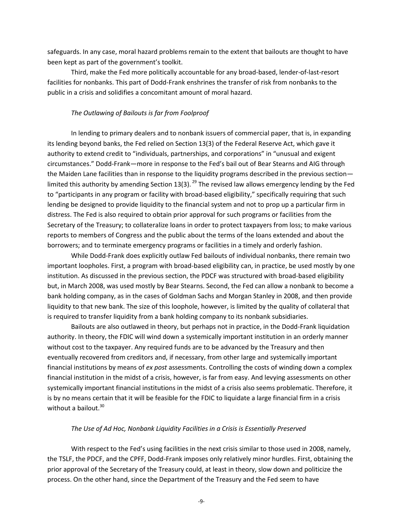safeguards. In any case, moral hazard problems remain to the extent that bailouts are thought to have been kept as part of the government's toolkit.

Third, make the Fed more politically accountable for any broad-based, lender-of-last-resort facilities for nonbanks. This part of Dodd-Frank enshrines the transfer of risk from nonbanks to the public in a crisis and solidifies a concomitant amount of moral hazard.

#### *The Outlawing of Bailouts is far from Foolproof*

In lending to primary dealers and to nonbank issuers of commercial paper, that is, in expanding its lending beyond banks, the Fed relied on Section 13(3) of the Federal Reserve Act, which gave it authority to extend credit to "individuals, partnerships, and corporations" in "unusual and exigent circumstances." Dodd-Frank—more in response to the Fed's bail out of Bear Stearns and AIG through the Maiden Lane facilities than in response to the liquidity programs described in the previous section limited this authority by amending Section 13(3). <sup>29</sup> The revised law allows emergency lending by the Fed to "participants in any program or facility with broad-based eligibility," specifically requiring that such lending be designed to provide liquidity to the financial system and not to prop up a particular firm in distress. The Fed is also required to obtain prior approval for such programs or facilities from the Secretary of the Treasury; to collateralize loans in order to protect taxpayers from loss; to make various reports to members of Congress and the public about the terms of the loans extended and about the borrowers; and to terminate emergency programs or facilities in a timely and orderly fashion.

While Dodd-Frank does explicitly outlaw Fed bailouts of individual nonbanks, there remain two important loopholes. First, a program with broad-based eligibility can, in practice, be used mostly by one institution. As discussed in the previous section, the PDCF was structured with broad-based eligibility but, in March 2008, was used mostly by Bear Stearns. Second, the Fed can allow a nonbank to become a bank holding company, as in the cases of Goldman Sachs and Morgan Stanley in 2008, and then provide liquidity to that new bank. The size of this loophole, however, is limited by the quality of collateral that is required to transfer liquidity from a bank holding company to its nonbank subsidiaries.

Bailouts are also outlawed in theory, but perhaps not in practice, in the Dodd-Frank liquidation authority. In theory, the FDIC will wind down a systemically important institution in an orderly manner without cost to the taxpayer. Any required funds are to be advanced by the Treasury and then eventually recovered from creditors and, if necessary, from other large and systemically important financial institutions by means of *ex post* assessments. Controlling the costs of winding down a complex financial institution in the midst of a crisis, however, is far from easy. And levying assessments on other systemically important financial institutions in the midst of a crisis also seems problematic. Therefore, it is by no means certain that it will be feasible for the FDIC to liquidate a large financial firm in a crisis without a bailout. $30$ 

#### *The Use of Ad Hoc, Nonbank Liquidity Facilities in a Crisis is Essentially Preserved*

With respect to the Fed's using facilities in the next crisis similar to those used in 2008, namely, the TSLF, the PDCF, and the CPFF, Dodd-Frank imposes only relatively minor hurdles. First, obtaining the prior approval of the Secretary of the Treasury could, at least in theory, slow down and politicize the process. On the other hand, since the Department of the Treasury and the Fed seem to have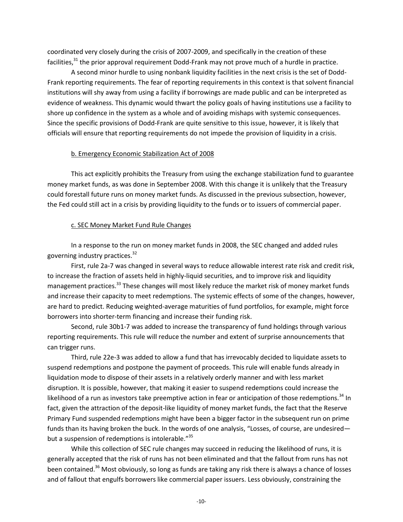coordinated very closely during the crisis of 2007-2009, and specifically in the creation of these facilities, $31$  the prior approval requirement Dodd-Frank may not prove much of a hurdle in practice.

A second minor hurdle to using nonbank liquidity facilities in the next crisis is the set of Dodd-Frank reporting requirements. The fear of reporting requirements in this context is that solvent financial institutions will shy away from using a facility if borrowings are made public and can be interpreted as evidence of weakness. This dynamic would thwart the policy goals of having institutions use a facility to shore up confidence in the system as a whole and of avoiding mishaps with systemic consequences. Since the specific provisions of Dodd-Frank are quite sensitive to this issue, however, it is likely that officials will ensure that reporting requirements do not impede the provision of liquidity in a crisis.

# b. Emergency Economic Stabilization Act of 2008

This act explicitly prohibits the Treasury from using the exchange stabilization fund to guarantee money market funds, as was done in September 2008. With this change it is unlikely that the Treasury could forestall future runs on money market funds. As discussed in the previous subsection, however, the Fed could still act in a crisis by providing liquidity to the funds or to issuers of commercial paper.

# c. SEC Money Market Fund Rule Changes

In a response to the run on money market funds in 2008, the SEC changed and added rules governing industry practices.<sup>32</sup>

First, rule 2a-7 was changed in several ways to reduce allowable interest rate risk and credit risk, to increase the fraction of assets held in highly-liquid securities, and to improve risk and liquidity management practices.<sup>33</sup> These changes will most likely reduce the market risk of money market funds and increase their capacity to meet redemptions. The systemic effects of some of the changes, however, are hard to predict. Reducing weighted-average maturities of fund portfolios, for example, might force borrowers into shorter-term financing and increase their funding risk.

Second, rule 30b1-7 was added to increase the transparency of fund holdings through various reporting requirements. This rule will reduce the number and extent of surprise announcements that can trigger runs.

Third, rule 22e-3 was added to allow a fund that has irrevocably decided to liquidate assets to suspend redemptions and postpone the payment of proceeds. This rule will enable funds already in liquidation mode to dispose of their assets in a relatively orderly manner and with less market disruption. It is possible, however, that making it easier to suspend redemptions could increase the likelihood of a run as investors take preemptive action in fear or anticipation of those redemptions.<sup>34</sup> In fact, given the attraction of the deposit-like liquidity of money market funds, the fact that the Reserve Primary Fund suspended redemptions might have been a bigger factor in the subsequent run on prime funds than its having broken the buck. In the words of one analysis, "Losses, of course, are undesired but a suspension of redemptions is intolerable."<sup>35</sup>

While this collection of SEC rule changes may succeed in reducing the likelihood of runs, it is generally accepted that the risk of runs has not been eliminated and that the fallout from runs has not been contained.<sup>36</sup> Most obviously, so long as funds are taking any risk there is always a chance of losses and of fallout that engulfs borrowers like commercial paper issuers. Less obviously, constraining the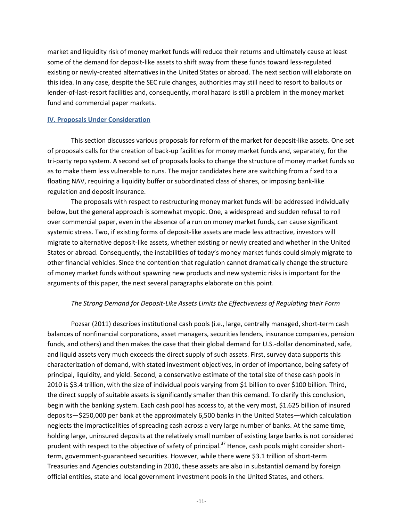market and liquidity risk of money market funds will reduce their returns and ultimately cause at least some of the demand for deposit-like assets to shift away from these funds toward less-regulated existing or newly-created alternatives in the United States or abroad. The next section will elaborate on this idea. In any case, despite the SEC rule changes, authorities may still need to resort to bailouts or lender-of-last-resort facilities and, consequently, moral hazard is still a problem in the money market fund and commercial paper markets.

## **IV. Proposals Under Consideration**

This section discusses various proposals for reform of the market for deposit-like assets. One set of proposals calls for the creation of back-up facilities for money market funds and, separately, for the tri-party repo system. A second set of proposals looks to change the structure of money market funds so as to make them less vulnerable to runs. The major candidates here are switching from a fixed to a floating NAV, requiring a liquidity buffer or subordinated class of shares, or imposing bank-like regulation and deposit insurance.

The proposals with respect to restructuring money market funds will be addressed individually below, but the general approach is somewhat myopic. One, a widespread and sudden refusal to roll over commercial paper, even in the absence of a run on money market funds, can cause significant systemic stress. Two, if existing forms of deposit-like assets are made less attractive, investors will migrate to alternative deposit-like assets, whether existing or newly created and whether in the United States or abroad. Consequently, the instabilities of today's money market funds could simply migrate to other financial vehicles. Since the contention that regulation cannot dramatically change the structure of money market funds without spawning new products and new systemic risks is important for the arguments of this paper, the next several paragraphs elaborate on this point.

## *The Strong Demand for Deposit-Like Assets Limits the Effectiveness of Regulating their Form*

Pozsar (2011) describes institutional cash pools (i.e., large, centrally managed, short-term cash balances of nonfinancial corporations, asset managers, securities lenders, insurance companies, pension funds, and others) and then makes the case that their global demand for U.S.-dollar denominated, safe, and liquid assets very much exceeds the direct supply of such assets. First, survey data supports this characterization of demand, with stated investment objectives, in order of importance, being safety of principal, liquidity, and yield. Second, a conservative estimate of the total size of these cash pools in 2010 is \$3.4 trillion, with the size of individual pools varying from \$1 billion to over \$100 billion. Third, the direct supply of suitable assets is significantly smaller than this demand. To clarify this conclusion, begin with the banking system. Each cash pool has access to, at the very most, \$1.625 billion of insured deposits—\$250,000 per bank at the approximately 6,500 banks in the United States—which calculation neglects the impracticalities of spreading cash across a very large number of banks. At the same time, holding large, uninsured deposits at the relatively small number of existing large banks is not considered prudent with respect to the objective of safety of principal.<sup>37</sup> Hence, cash pools might consider shortterm, government-guaranteed securities. However, while there were \$3.1 trillion of short-term Treasuries and Agencies outstanding in 2010, these assets are also in substantial demand by foreign official entities, state and local government investment pools in the United States, and others.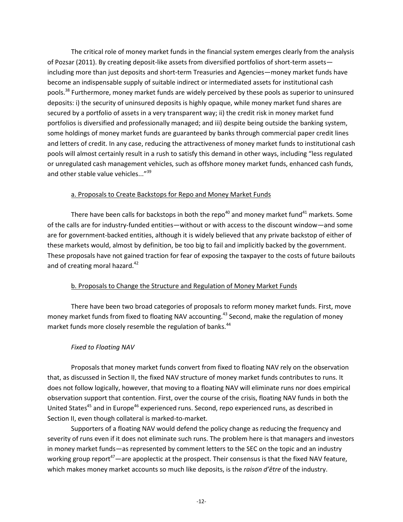The critical role of money market funds in the financial system emerges clearly from the analysis of Pozsar (2011). By creating deposit-like assets from diversified portfolios of short-term assets including more than just deposits and short-term Treasuries and Agencies—money market funds have become an indispensable supply of suitable indirect or intermediated assets for institutional cash pools.<sup>38</sup> Furthermore, money market funds are widely perceived by these pools as superior to uninsured deposits: i) the security of uninsured deposits is highly opaque, while money market fund shares are secured by a portfolio of assets in a very transparent way; ii) the credit risk in money market fund portfolios is diversified and professionally managed; and iii) despite being outside the banking system, some holdings of money market funds are guaranteed by banks through commercial paper credit lines and letters of credit. In any case, reducing the attractiveness of money market funds to institutional cash pools will almost certainly result in a rush to satisfy this demand in other ways, including "less regulated or unregulated cash management vehicles, such as offshore money market funds, enhanced cash funds, and other stable value vehicles..."<sup>39</sup>

# a. Proposals to Create Backstops for Repo and Money Market Funds

There have been calls for backstops in both the repo<sup>40</sup> and money market fund<sup>41</sup> markets. Some of the calls are for industry-funded entities—without or with access to the discount window—and some are for government-backed entities, although it is widely believed that any private backstop of either of these markets would, almost by definition, be too big to fail and implicitly backed by the government. These proposals have not gained traction for fear of exposing the taxpayer to the costs of future bailouts and of creating moral hazard.<sup>42</sup>

# b. Proposals to Change the Structure and Regulation of Money Market Funds

There have been two broad categories of proposals to reform money market funds. First, move money market funds from fixed to floating NAV accounting.<sup>43</sup> Second, make the regulation of money market funds more closely resemble the regulation of banks.<sup>44</sup>

# *Fixed to Floating NAV*

Proposals that money market funds convert from fixed to floating NAV rely on the observation that, as discussed in Section II, the fixed NAV structure of money market funds contributes to runs. It does not follow logically, however, that moving to a floating NAV will eliminate runs nor does empirical observation support that contention. First, over the course of the crisis, floating NAV funds in both the United States<sup>45</sup> and in Europe<sup>46</sup> experienced runs. Second, repo experienced runs, as described in Section II, even though collateral is marked-to-market.

Supporters of a floating NAV would defend the policy change as reducing the frequency and severity of runs even if it does not eliminate such runs. The problem here is that managers and investors in money market funds—as represented by comment letters to the SEC on the topic and an industry working group report<sup>47</sup>—are apoplectic at the prospect. Their consensus is that the fixed NAV feature, which makes money market accounts so much like deposits, is the *raison d'être* of the industry.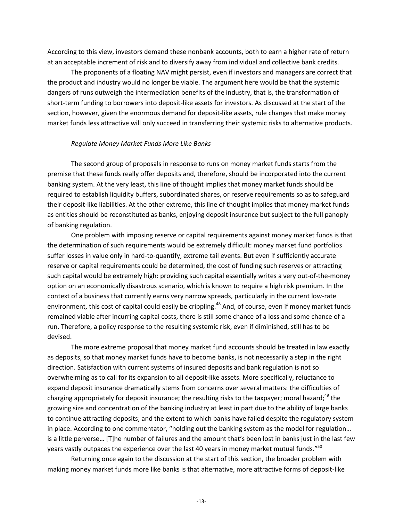According to this view, investors demand these nonbank accounts, both to earn a higher rate of return at an acceptable increment of risk and to diversify away from individual and collective bank credits.

The proponents of a floating NAV might persist, even if investors and managers are correct that the product and industry would no longer be viable. The argument here would be that the systemic dangers of runs outweigh the intermediation benefits of the industry, that is, the transformation of short-term funding to borrowers into deposit-like assets for investors. As discussed at the start of the section, however, given the enormous demand for deposit-like assets, rule changes that make money market funds less attractive will only succeed in transferring their systemic risks to alternative products.

## *Regulate Money Market Funds More Like Banks*

The second group of proposals in response to runs on money market funds starts from the premise that these funds really offer deposits and, therefore, should be incorporated into the current banking system. At the very least, this line of thought implies that money market funds should be required to establish liquidity buffers, subordinated shares, or reserve requirements so as to safeguard their deposit-like liabilities. At the other extreme, this line of thought implies that money market funds as entities should be reconstituted as banks, enjoying deposit insurance but subject to the full panoply of banking regulation.

One problem with imposing reserve or capital requirements against money market funds is that the determination of such requirements would be extremely difficult: money market fund portfolios suffer losses in value only in hard-to-quantify, extreme tail events. But even if sufficiently accurate reserve or capital requirements could be determined, the cost of funding such reserves or attracting such capital would be extremely high: providing such capital essentially writes a very out-of-the-money option on an economically disastrous scenario, which is known to require a high risk premium. In the context of a business that currently earns very narrow spreads, particularly in the current low-rate environment, this cost of capital could easily be crippling.<sup>48</sup> And, of course, even if money market funds remained viable after incurring capital costs, there is still some chance of a loss and some chance of a run. Therefore, a policy response to the resulting systemic risk, even if diminished, still has to be devised.

The more extreme proposal that money market fund accounts should be treated in law exactly as deposits, so that money market funds have to become banks, is not necessarily a step in the right direction. Satisfaction with current systems of insured deposits and bank regulation is not so overwhelming as to call for its expansion to all deposit-like assets. More specifically, reluctance to expand deposit insurance dramatically stems from concerns over several matters: the difficulties of charging appropriately for deposit insurance; the resulting risks to the taxpayer; moral hazard;<sup>49</sup> the growing size and concentration of the banking industry at least in part due to the ability of large banks to continue attracting deposits; and the extent to which banks have failed despite the regulatory system in place. According to one commentator, "holding out the banking system as the model for regulation… is a little perverse… [T]he number of failures and the amount that's been lost in banks just in the last few years vastly outpaces the experience over the last 40 years in money market mutual funds."<sup>50</sup>

Returning once again to the discussion at the start of this section, the broader problem with making money market funds more like banks is that alternative, more attractive forms of deposit-like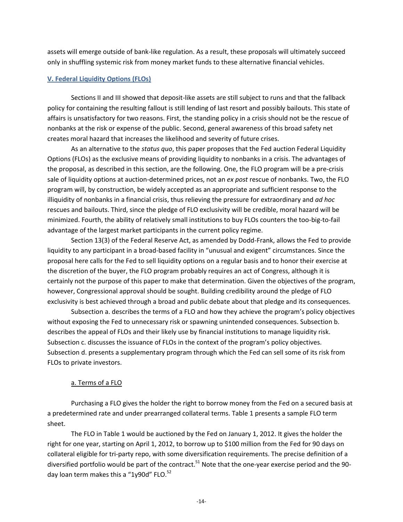assets will emerge outside of bank-like regulation. As a result, these proposals will ultimately succeed only in shuffling systemic risk from money market funds to these alternative financial vehicles.

## **V. Federal Liquidity Options (FLOs)**

Sections II and III showed that deposit-like assets are still subject to runs and that the fallback policy for containing the resulting fallout is still lending of last resort and possibly bailouts. This state of affairs is unsatisfactory for two reasons. First, the standing policy in a crisis should not be the rescue of nonbanks at the risk or expense of the public. Second, general awareness of this broad safety net creates moral hazard that increases the likelihood and severity of future crises.

As an alternative to the *status quo*, this paper proposes that the Fed auction Federal Liquidity Options (FLOs) as the exclusive means of providing liquidity to nonbanks in a crisis. The advantages of the proposal, as described in this section, are the following. One, the FLO program will be a pre-crisis sale of liquidity options at auction-determined prices, not an *ex post* rescue of nonbanks. Two, the FLO program will, by construction, be widely accepted as an appropriate and sufficient response to the illiquidity of nonbanks in a financial crisis, thus relieving the pressure for extraordinary and *ad hoc* rescues and bailouts. Third, since the pledge of FLO exclusivity will be credible, moral hazard will be minimized. Fourth, the ability of relatively small institutions to buy FLOs counters the too-big-to-fail advantage of the largest market participants in the current policy regime.

Section 13(3) of the Federal Reserve Act, as amended by Dodd-Frank, allows the Fed to provide liquidity to any participant in a broad-based facility in "unusual and exigent" circumstances. Since the proposal here calls for the Fed to sell liquidity options on a regular basis and to honor their exercise at the discretion of the buyer, the FLO program probably requires an act of Congress, although it is certainly not the purpose of this paper to make that determination. Given the objectives of the program, however, Congressional approval should be sought. Building credibility around the pledge of FLO exclusivity is best achieved through a broad and public debate about that pledge and its consequences.

Subsection a. describes the terms of a FLO and how they achieve the program's policy objectives without exposing the Fed to unnecessary risk or spawning unintended consequences. Subsection b. describes the appeal of FLOs and their likely use by financial institutions to manage liquidity risk. Subsection c. discusses the issuance of FLOs in the context of the program's policy objectives. Subsection d. presents a supplementary program through which the Fed can sell some of its risk from FLOs to private investors.

## a. Terms of a FLO

Purchasing a FLO gives the holder the right to borrow money from the Fed on a secured basis at a predetermined rate and under prearranged collateral terms. Table 1 presents a sample FLO term sheet.

The FLO in Table 1 would be auctioned by the Fed on January 1, 2012. It gives the holder the right for one year, starting on April 1, 2012, to borrow up to \$100 million from the Fed for 90 days on collateral eligible for tri-party repo, with some diversification requirements. The precise definition of a diversified portfolio would be part of the contract.<sup>51</sup> Note that the one-year exercise period and the 90day loan term makes this a "1y90d" FLO. $52$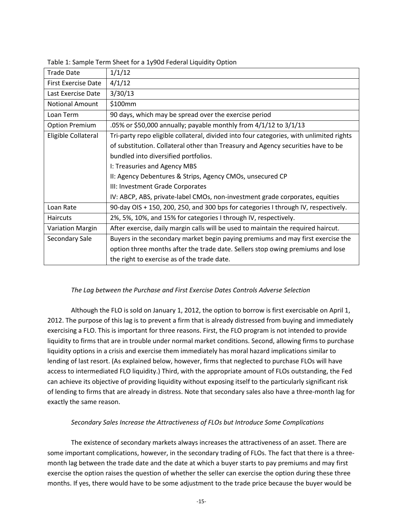| <b>Trade Date</b>          | 1/1/12                                                                                  |
|----------------------------|-----------------------------------------------------------------------------------------|
| <b>First Exercise Date</b> | 4/1/12                                                                                  |
| Last Exercise Date         | 3/30/13                                                                                 |
| <b>Notional Amount</b>     | \$100mm                                                                                 |
| Loan Term                  | 90 days, which may be spread over the exercise period                                   |
| <b>Option Premium</b>      | .05% or \$50,000 annually; payable monthly from $4/1/12$ to $3/1/13$                    |
| Eligible Collateral        | Tri-party repo eligible collateral, divided into four categories, with unlimited rights |
|                            | of substitution. Collateral other than Treasury and Agency securities have to be        |
|                            | bundled into diversified portfolios.                                                    |
|                            | I: Treasuries and Agency MBS                                                            |
|                            | II: Agency Debentures & Strips, Agency CMOs, unsecured CP                               |
|                            | III: Investment Grade Corporates                                                        |
|                            | IV: ABCP, ABS, private-label CMOs, non-investment grade corporates, equities            |
| Loan Rate                  | 90-day OIS + 150, 200, 250, and 300 bps for categories I through IV, respectively.      |
| <b>Haircuts</b>            | 2%, 5%, 10%, and 15% for categories I through IV, respectively.                         |
| <b>Variation Margin</b>    | After exercise, daily margin calls will be used to maintain the required haircut.       |
| Secondary Sale             | Buyers in the secondary market begin paying premiums and may first exercise the         |
|                            | option three months after the trade date. Sellers stop owing premiums and lose          |
|                            | the right to exercise as of the trade date.                                             |

Table 1: Sample Term Sheet for a 1y90d Federal Liquidity Option

# *The Lag between the Purchase and First Exercise Dates Controls Adverse Selection*

Although the FLO is sold on January 1, 2012, the option to borrow is first exercisable on April 1, 2012. The purpose of this lag is to prevent a firm that is already distressed from buying and immediately exercising a FLO. This is important for three reasons. First, the FLO program is not intended to provide liquidity to firms that are in trouble under normal market conditions. Second, allowing firms to purchase liquidity options in a crisis and exercise them immediately has moral hazard implications similar to lending of last resort. (As explained below, however, firms that neglected to purchase FLOs will have access to intermediated FLO liquidity.) Third, with the appropriate amount of FLOs outstanding, the Fed can achieve its objective of providing liquidity without exposing itself to the particularly significant risk of lending to firms that are already in distress. Note that secondary sales also have a three-month lag for exactly the same reason.

# *Secondary Sales Increase the Attractiveness of FLOs but Introduce Some Complications*

The existence of secondary markets always increases the attractiveness of an asset. There are some important complications, however, in the secondary trading of FLOs. The fact that there is a threemonth lag between the trade date and the date at which a buyer starts to pay premiums and may first exercise the option raises the question of whether the seller can exercise the option during these three months. If yes, there would have to be some adjustment to the trade price because the buyer would be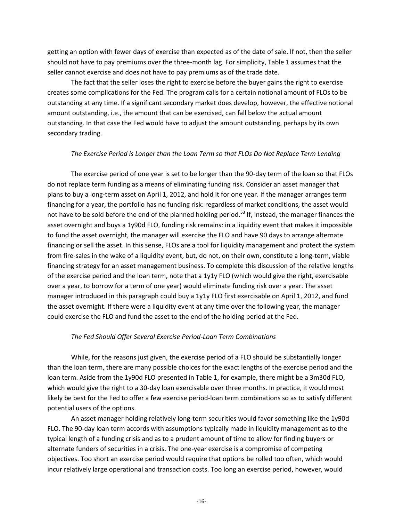getting an option with fewer days of exercise than expected as of the date of sale. If not, then the seller should not have to pay premiums over the three-month lag. For simplicity, Table 1 assumes that the seller cannot exercise and does not have to pay premiums as of the trade date.

The fact that the seller loses the right to exercise before the buyer gains the right to exercise creates some complications for the Fed. The program calls for a certain notional amount of FLOs to be outstanding at any time. If a significant secondary market does develop, however, the effective notional amount outstanding, i.e., the amount that can be exercised, can fall below the actual amount outstanding. In that case the Fed would have to adjust the amount outstanding, perhaps by its own secondary trading.

# *The Exercise Period is Longer than the Loan Term so that FLOs Do Not Replace Term Lending*

The exercise period of one year is set to be longer than the 90-day term of the loan so that FLOs do not replace term funding as a means of eliminating funding risk. Consider an asset manager that plans to buy a long-term asset on April 1, 2012, and hold it for one year. If the manager arranges term financing for a year, the portfolio has no funding risk: regardless of market conditions, the asset would not have to be sold before the end of the planned holding period.<sup>53</sup> If, instead, the manager finances the asset overnight and buys a 1y90d FLO, funding risk remains: in a liquidity event that makes it impossible to fund the asset overnight, the manager will exercise the FLO and have 90 days to arrange alternate financing or sell the asset. In this sense, FLOs are a tool for liquidity management and protect the system from fire-sales in the wake of a liquidity event, but, do not, on their own, constitute a long-term, viable financing strategy for an asset management business. To complete this discussion of the relative lengths of the exercise period and the loan term, note that a 1y1y FLO (which would give the right, exercisable over a year, to borrow for a term of one year) would eliminate funding risk over a year. The asset manager introduced in this paragraph could buy a 1y1y FLO first exercisable on April 1, 2012, and fund the asset overnight. If there were a liquidity event at any time over the following year, the manager could exercise the FLO and fund the asset to the end of the holding period at the Fed.

## *The Fed Should Offer Several Exercise Period-Loan Term Combinations*

While, for the reasons just given, the exercise period of a FLO should be substantially longer than the loan term, there are many possible choices for the exact lengths of the exercise period and the loan term. Aside from the 1y90d FLO presented in Table 1, for example, there might be a 3m30d FLO, which would give the right to a 30-day loan exercisable over three months. In practice, it would most likely be best for the Fed to offer a few exercise period-loan term combinations so as to satisfy different potential users of the options.

An asset manager holding relatively long-term securities would favor something like the 1y90d FLO. The 90-day loan term accords with assumptions typically made in liquidity management as to the typical length of a funding crisis and as to a prudent amount of time to allow for finding buyers or alternate funders of securities in a crisis. The one-year exercise is a compromise of competing objectives. Too short an exercise period would require that options be rolled too often, which would incur relatively large operational and transaction costs. Too long an exercise period, however, would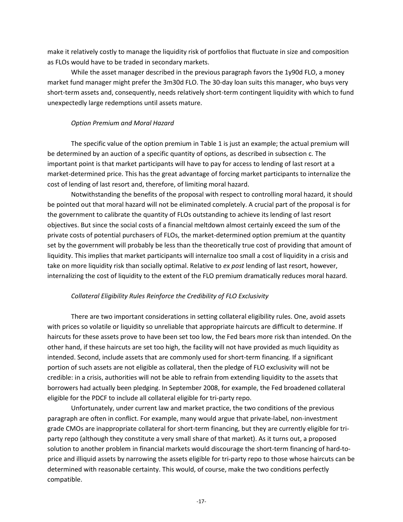make it relatively costly to manage the liquidity risk of portfolios that fluctuate in size and composition as FLOs would have to be traded in secondary markets.

While the asset manager described in the previous paragraph favors the 1y90d FLO, a money market fund manager might prefer the 3m30d FLO. The 30-day loan suits this manager, who buys very short-term assets and, consequently, needs relatively short-term contingent liquidity with which to fund unexpectedly large redemptions until assets mature.

# *Option Premium and Moral Hazard*

The specific value of the option premium in Table 1 is just an example; the actual premium will be determined by an auction of a specific quantity of options, as described in subsection c. The important point is that market participants will have to pay for access to lending of last resort at a market-determined price. This has the great advantage of forcing market participants to internalize the cost of lending of last resort and, therefore, of limiting moral hazard.

Notwithstanding the benefits of the proposal with respect to controlling moral hazard, it should be pointed out that moral hazard will not be eliminated completely. A crucial part of the proposal is for the government to calibrate the quantity of FLOs outstanding to achieve its lending of last resort objectives. But since the social costs of a financial meltdown almost certainly exceed the sum of the private costs of potential purchasers of FLOs, the market-determined option premium at the quantity set by the government will probably be less than the theoretically true cost of providing that amount of liquidity. This implies that market participants will internalize too small a cost of liquidity in a crisis and take on more liquidity risk than socially optimal. Relative to *ex post* lending of last resort, however, internalizing the cost of liquidity to the extent of the FLO premium dramatically reduces moral hazard.

# *Collateral Eligibility Rules Reinforce the Credibility of FLO Exclusivity*

There are two important considerations in setting collateral eligibility rules. One, avoid assets with prices so volatile or liquidity so unreliable that appropriate haircuts are difficult to determine. If haircuts for these assets prove to have been set too low, the Fed bears more risk than intended. On the other hand, if these haircuts are set too high, the facility will not have provided as much liquidity as intended. Second, include assets that are commonly used for short-term financing. If a significant portion of such assets are not eligible as collateral, then the pledge of FLO exclusivity will not be credible: in a crisis, authorities will not be able to refrain from extending liquidity to the assets that borrowers had actually been pledging. In September 2008, for example, the Fed broadened collateral eligible for the PDCF to include all collateral eligible for tri-party repo.

Unfortunately, under current law and market practice, the two conditions of the previous paragraph are often in conflict. For example, many would argue that private-label, non-investment grade CMOs are inappropriate collateral for short-term financing, but they are currently eligible for triparty repo (although they constitute a very small share of that market). As it turns out, a proposed solution to another problem in financial markets would discourage the short-term financing of hard-toprice and illiquid assets by narrowing the assets eligible for tri-party repo to those whose haircuts can be determined with reasonable certainty. This would, of course, make the two conditions perfectly compatible.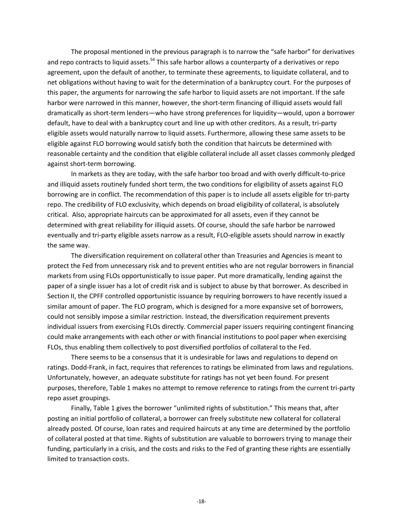The proposal mentioned in the previous paragraph is to narrow the "safe harbor" for derivatives and repo contracts to liquid assets.<sup>54</sup> This safe harbor allows a counterparty of a derivatives or repo agreement, upon the default of another, to terminate these agreements, to liquidate collateral, and to net obligations without having to wait for the determination of a bankruptcy court. For the purposes of this paper, the arguments for narrowing the safe harbor to liquid assets are not important. If the safe harbor were narrowed in this manner, however, the short-term financing of illiquid assets would fall dramatically as short-term lenders—who have strong preferences for liquidity—would, upon a borrower default, have to deal with a bankruptcy court and line up with other creditors. As a result, tri-party eligible assets would naturally narrow to liquid assets. Furthermore, allowing these same assets to be eligible against FLO borrowing would satisfy both the condition that haircuts be determined with reasonable certainty and the condition that eligible collateral include all asset classes commonly pledged against short-term borrowing.

In markets as they are today, with the safe harbor too broad and with overly difficult-to-price and illiquid assets routinely funded short term, the two conditions for eligibility of assets against FLO borrowing are in conflict. The recommendation of this paper is to include all assets eligible for tri-party repo. The credibility of FLO exclusivity, which depends on broad eligibility of collateral, is absolutely critical. Also, appropriate haircuts can be approximated for all assets, even if they cannot be determined with great reliability for illiquid assets. Of course, should the safe harbor be narrowed eventually and tri-party eligible assets narrow as a result, FLO-eligible assets should narrow in exactly the same way.

The diversification requirement on collateral other than Treasuries and Agencies is meant to protect the Fed from unnecessary risk and to prevent entities who are not regular borrowers in financial markets from using FLOs opportunistically to issue paper. Put more dramatically, lending against the paper of a single issuer has a lot of credit risk and is subject to abuse by that borrower. As described in Section II, the CPFF controlled opportunistic issuance by requiring borrowers to have recently issued a similar amount of paper. The FLO program, which is designed for a more expansive set of borrowers, could not sensibly impose a similar restriction. Instead, the diversification requirement prevents individual issuers from exercising FLOs directly. Commercial paper issuers requiring contingent financing could make arrangements with each other or with financial institutions to pool paper when exercising FLOs, thus enabling them collectively to post diversified portfolios of collateral to the Fed.

There seems to be a consensus that it is undesirable for laws and regulations to depend on ratings. Dodd-Frank, in fact, requires that references to ratings be eliminated from laws and regulations. Unfortunately, however, an adequate substitute for ratings has not yet been found. For present purposes, therefore, Table 1 makes no attempt to remove reference to ratings from the current tri-party repo asset groupings.

Finally, Table 1 gives the borrower "unlimited rights of substitution." This means that, after posting an initial portfolio of collateral, a borrower can freely substitute new collateral for collateral already posted. Of course, loan rates and required haircuts at any time are determined by the portfolio of collateral posted at that time. Rights of substitution are valuable to borrowers trying to manage their funding, particularly in a crisis, and the costs and risks to the Fed of granting these rights are essentially limited to transaction costs.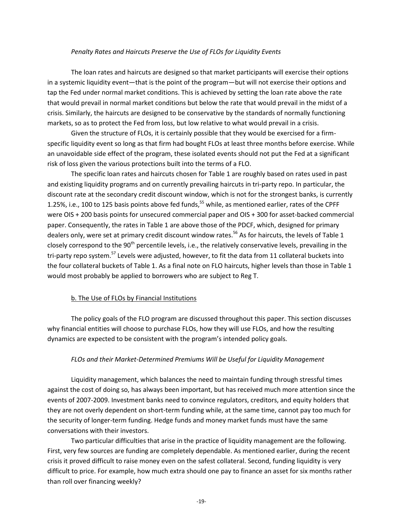## *Penalty Rates and Haircuts Preserve the Use of FLOs for Liquidity Events*

The loan rates and haircuts are designed so that market participants will exercise their options in a systemic liquidity event—that is the point of the program—but will not exercise their options and tap the Fed under normal market conditions. This is achieved by setting the loan rate above the rate that would prevail in normal market conditions but below the rate that would prevail in the midst of a crisis. Similarly, the haircuts are designed to be conservative by the standards of normally functioning markets, so as to protect the Fed from loss, but low relative to what would prevail in a crisis.

Given the structure of FLOs, it is certainly possible that they would be exercised for a firmspecific liquidity event so long as that firm had bought FLOs at least three months before exercise. While an unavoidable side effect of the program, these isolated events should not put the Fed at a significant risk of loss given the various protections built into the terms of a FLO.

The specific loan rates and haircuts chosen for Table 1 are roughly based on rates used in past and existing liquidity programs and on currently prevailing haircuts in tri-party repo. In particular, the discount rate at the secondary credit discount window, which is not for the strongest banks, is currently 1.25%, i.e., 100 to 125 basis points above fed funds,<sup>55</sup> while, as mentioned earlier, rates of the CPFF were OIS + 200 basis points for unsecured commercial paper and OIS + 300 for asset-backed commercial paper. Consequently, the rates in Table 1 are above those of the PDCF, which, designed for primary dealers only, were set at primary credit discount window rates.<sup>56</sup> As for haircuts, the levels of Table 1 closely correspond to the 90<sup>th</sup> percentile levels, i.e., the relatively conservative levels, prevailing in the tri-party repo system.<sup>57</sup> Levels were adjusted, however, to fit the data from 11 collateral buckets into the four collateral buckets of Table 1. As a final note on FLO haircuts, higher levels than those in Table 1 would most probably be applied to borrowers who are subject to Reg T.

## b. The Use of FLOs by Financial Institutions

The policy goals of the FLO program are discussed throughout this paper. This section discusses why financial entities will choose to purchase FLOs, how they will use FLOs, and how the resulting dynamics are expected to be consistent with the program's intended policy goals.

#### *FLOs and their Market-Determined Premiums Will be Useful for Liquidity Management*

Liquidity management, which balances the need to maintain funding through stressful times against the cost of doing so, has always been important, but has received much more attention since the events of 2007-2009. Investment banks need to convince regulators, creditors, and equity holders that they are not overly dependent on short-term funding while, at the same time, cannot pay too much for the security of longer-term funding. Hedge funds and money market funds must have the same conversations with their investors.

Two particular difficulties that arise in the practice of liquidity management are the following. First, very few sources are funding are completely dependable. As mentioned earlier, during the recent crisis it proved difficult to raise money even on the safest collateral. Second, funding liquidity is very difficult to price. For example, how much extra should one pay to finance an asset for six months rather than roll over financing weekly?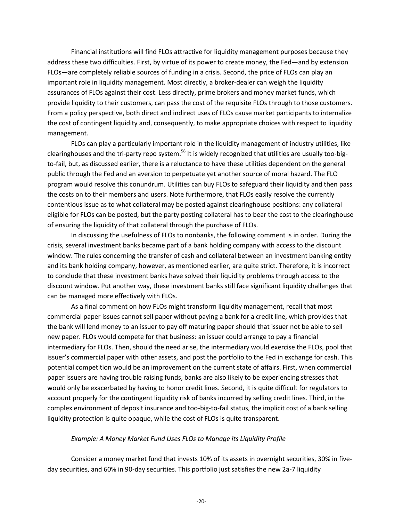Financial institutions will find FLOs attractive for liquidity management purposes because they address these two difficulties. First, by virtue of its power to create money, the Fed—and by extension FLOs—are completely reliable sources of funding in a crisis. Second, the price of FLOs can play an important role in liquidity management. Most directly, a broker-dealer can weigh the liquidity assurances of FLOs against their cost. Less directly, prime brokers and money market funds, which provide liquidity to their customers, can pass the cost of the requisite FLOs through to those customers. From a policy perspective, both direct and indirect uses of FLOs cause market participants to internalize the cost of contingent liquidity and, consequently, to make appropriate choices with respect to liquidity management.

FLOs can play a particularly important role in the liquidity management of industry utilities, like clearinghouses and the tri-party repo system.<sup>58</sup> It is widely recognized that utilities are usually too-bigto-fail, but, as discussed earlier, there is a reluctance to have these utilities dependent on the general public through the Fed and an aversion to perpetuate yet another source of moral hazard. The FLO program would resolve this conundrum. Utilities can buy FLOs to safeguard their liquidity and then pass the costs on to their members and users. Note furthermore, that FLOs easily resolve the currently contentious issue as to what collateral may be posted against clearinghouse positions: any collateral eligible for FLOs can be posted, but the party posting collateral has to bear the cost to the clearinghouse of ensuring the liquidity of that collateral through the purchase of FLOs.

In discussing the usefulness of FLOs to nonbanks, the following comment is in order. During the crisis, several investment banks became part of a bank holding company with access to the discount window. The rules concerning the transfer of cash and collateral between an investment banking entity and its bank holding company, however, as mentioned earlier, are quite strict. Therefore, it is incorrect to conclude that these investment banks have solved their liquidity problems through access to the discount window. Put another way, these investment banks still face significant liquidity challenges that can be managed more effectively with FLOs.

As a final comment on how FLOs might transform liquidity management, recall that most commercial paper issues cannot sell paper without paying a bank for a credit line, which provides that the bank will lend money to an issuer to pay off maturing paper should that issuer not be able to sell new paper. FLOs would compete for that business: an issuer could arrange to pay a financial intermediary for FLOs. Then, should the need arise, the intermediary would exercise the FLOs, pool that issuer's commercial paper with other assets, and post the portfolio to the Fed in exchange for cash. This potential competition would be an improvement on the current state of affairs. First, when commercial paper issuers are having trouble raising funds, banks are also likely to be experiencing stresses that would only be exacerbated by having to honor credit lines. Second, it is quite difficult for regulators to account properly for the contingent liquidity risk of banks incurred by selling credit lines. Third, in the complex environment of deposit insurance and too-big-to-fail status, the implicit cost of a bank selling liquidity protection is quite opaque, while the cost of FLOs is quite transparent.

## *Example: A Money Market Fund Uses FLOs to Manage its Liquidity Profile*

Consider a money market fund that invests 10% of its assets in overnight securities, 30% in fiveday securities, and 60% in 90-day securities. This portfolio just satisfies the new 2a-7 liquidity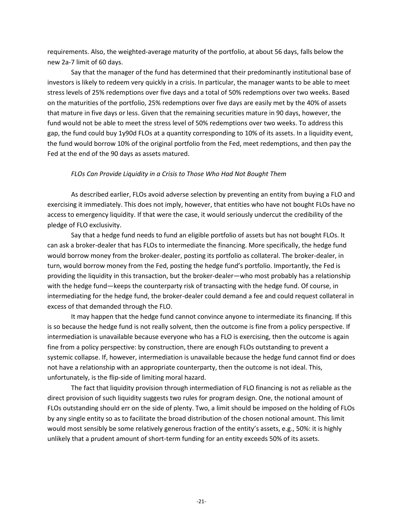requirements. Also, the weighted-average maturity of the portfolio, at about 56 days, falls below the new 2a-7 limit of 60 days.

Say that the manager of the fund has determined that their predominantly institutional base of investors is likely to redeem very quickly in a crisis. In particular, the manager wants to be able to meet stress levels of 25% redemptions over five days and a total of 50% redemptions over two weeks. Based on the maturities of the portfolio, 25% redemptions over five days are easily met by the 40% of assets that mature in five days or less. Given that the remaining securities mature in 90 days, however, the fund would not be able to meet the stress level of 50% redemptions over two weeks. To address this gap, the fund could buy 1y90d FLOs at a quantity corresponding to 10% of its assets. In a liquidity event, the fund would borrow 10% of the original portfolio from the Fed, meet redemptions, and then pay the Fed at the end of the 90 days as assets matured.

# *FLOs Can Provide Liquidity in a Crisis to Those Who Had Not Bought Them*

As described earlier, FLOs avoid adverse selection by preventing an entity from buying a FLO and exercising it immediately. This does not imply, however, that entities who have not bought FLOs have no access to emergency liquidity. If that were the case, it would seriously undercut the credibility of the pledge of FLO exclusivity.

Say that a hedge fund needs to fund an eligible portfolio of assets but has not bought FLOs. It can ask a broker-dealer that has FLOs to intermediate the financing. More specifically, the hedge fund would borrow money from the broker-dealer, posting its portfolio as collateral. The broker-dealer, in turn, would borrow money from the Fed, posting the hedge fund's portfolio. Importantly, the Fed is providing the liquidity in this transaction, but the broker-dealer—who most probably has a relationship with the hedge fund—keeps the counterparty risk of transacting with the hedge fund. Of course, in intermediating for the hedge fund, the broker-dealer could demand a fee and could request collateral in excess of that demanded through the FLO.

It may happen that the hedge fund cannot convince anyone to intermediate its financing. If this is so because the hedge fund is not really solvent, then the outcome is fine from a policy perspective. If intermediation is unavailable because everyone who has a FLO is exercising, then the outcome is again fine from a policy perspective: by construction, there are enough FLOs outstanding to prevent a systemic collapse. If, however, intermediation is unavailable because the hedge fund cannot find or does not have a relationship with an appropriate counterparty, then the outcome is not ideal. This, unfortunately, is the flip-side of limiting moral hazard.

The fact that liquidity provision through intermediation of FLO financing is not as reliable as the direct provision of such liquidity suggests two rules for program design. One, the notional amount of FLOs outstanding should err on the side of plenty. Two, a limit should be imposed on the holding of FLOs by any single entity so as to facilitate the broad distribution of the chosen notional amount. This limit would most sensibly be some relatively generous fraction of the entity's assets, e.g., 50%: it is highly unlikely that a prudent amount of short-term funding for an entity exceeds 50% of its assets.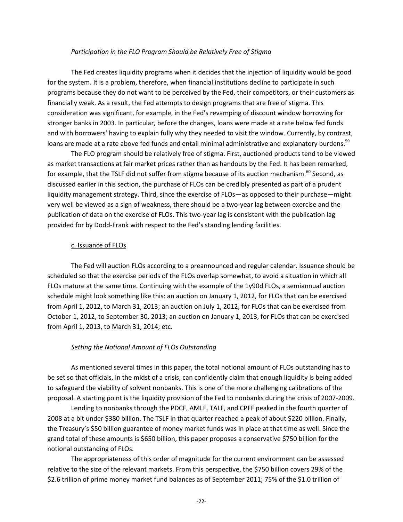#### *Participation in the FLO Program Should be Relatively Free of Stigma*

The Fed creates liquidity programs when it decides that the injection of liquidity would be good for the system. It is a problem, therefore, when financial institutions decline to participate in such programs because they do not want to be perceived by the Fed, their competitors, or their customers as financially weak. As a result, the Fed attempts to design programs that are free of stigma. This consideration was significant, for example, in the Fed's revamping of discount window borrowing for stronger banks in 2003. In particular, before the changes, loans were made at a rate below fed funds and with borrowers' having to explain fully why they needed to visit the window. Currently, by contrast, loans are made at a rate above fed funds and entail minimal administrative and explanatory burdens.<sup>59</sup>

The FLO program should be relatively free of stigma. First, auctioned products tend to be viewed as market transactions at fair market prices rather than as handouts by the Fed. It has been remarked, for example, that the TSLF did not suffer from stigma because of its auction mechanism.<sup>60</sup> Second, as discussed earlier in this section, the purchase of FLOs can be credibly presented as part of a prudent liquidity management strategy. Third, since the exercise of FLOs—as opposed to their purchase—might very well be viewed as a sign of weakness, there should be a two-year lag between exercise and the publication of data on the exercise of FLOs. This two-year lag is consistent with the publication lag provided for by Dodd-Frank with respect to the Fed's standing lending facilities.

## c. Issuance of FLOs

The Fed will auction FLOs according to a preannounced and regular calendar. Issuance should be scheduled so that the exercise periods of the FLOs overlap somewhat, to avoid a situation in which all FLOs mature at the same time. Continuing with the example of the 1y90d FLOs, a semiannual auction schedule might look something like this: an auction on January 1, 2012, for FLOs that can be exercised from April 1, 2012, to March 31, 2013; an auction on July 1, 2012, for FLOs that can be exercised from October 1, 2012, to September 30, 2013; an auction on January 1, 2013, for FLOs that can be exercised from April 1, 2013, to March 31, 2014; etc.

## *Setting the Notional Amount of FLOs Outstanding*

As mentioned several times in this paper, the total notional amount of FLOs outstanding has to be set so that officials, in the midst of a crisis, can confidently claim that enough liquidity is being added to safeguard the viability of solvent nonbanks. This is one of the more challenging calibrations of the proposal. A starting point is the liquidity provision of the Fed to nonbanks during the crisis of 2007-2009.

Lending to nonbanks through the PDCF, AMLF, TALF, and CPFF peaked in the fourth quarter of 2008 at a bit under \$380 billion. The TSLF in that quarter reached a peak of about \$220 billion. Finally, the Treasury's \$50 billion guarantee of money market funds was in place at that time as well. Since the grand total of these amounts is \$650 billion, this paper proposes a conservative \$750 billion for the notional outstanding of FLOs.

The appropriateness of this order of magnitude for the current environment can be assessed relative to the size of the relevant markets. From this perspective, the \$750 billion covers 29% of the \$2.6 trillion of prime money market fund balances as of September 2011; 75% of the \$1.0 trillion of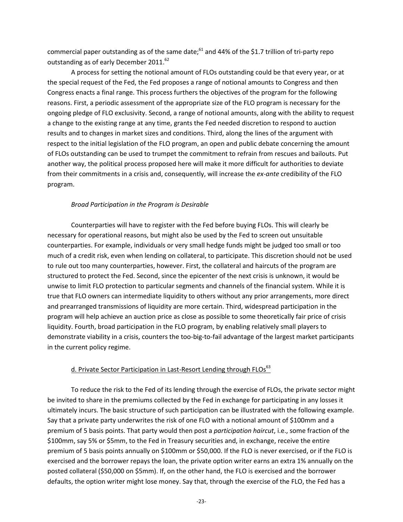commercial paper outstanding as of the same date; $61$  and 44% of the \$1.7 trillion of tri-party repo outstanding as of early December 2011.<sup>62</sup>

A process for setting the notional amount of FLOs outstanding could be that every year, or at the special request of the Fed, the Fed proposes a range of notional amounts to Congress and then Congress enacts a final range. This process furthers the objectives of the program for the following reasons. First, a periodic assessment of the appropriate size of the FLO program is necessary for the ongoing pledge of FLO exclusivity. Second, a range of notional amounts, along with the ability to request a change to the existing range at any time, grants the Fed needed discretion to respond to auction results and to changes in market sizes and conditions. Third, along the lines of the argument with respect to the initial legislation of the FLO program, an open and public debate concerning the amount of FLOs outstanding can be used to trumpet the commitment to refrain from rescues and bailouts. Put another way, the political process proposed here will make it more difficult for authorities to deviate from their commitments in a crisis and, consequently, will increase the *ex-ante* credibility of the FLO program.

# *Broad Participation in the Program is Desirable*

Counterparties will have to register with the Fed before buying FLOs. This will clearly be necessary for operational reasons, but might also be used by the Fed to screen out unsuitable counterparties. For example, individuals or very small hedge funds might be judged too small or too much of a credit risk, even when lending on collateral, to participate. This discretion should not be used to rule out too many counterparties, however. First, the collateral and haircuts of the program are structured to protect the Fed. Second, since the epicenter of the next crisis is unknown, it would be unwise to limit FLO protection to particular segments and channels of the financial system. While it is true that FLO owners can intermediate liquidity to others without any prior arrangements, more direct and prearranged transmissions of liquidity are more certain. Third, widespread participation in the program will help achieve an auction price as close as possible to some theoretically fair price of crisis liquidity. Fourth, broad participation in the FLO program, by enabling relatively small players to demonstrate viability in a crisis, counters the too-big-to-fail advantage of the largest market participants in the current policy regime.

# d. Private Sector Participation in Last-Resort Lending through FLOs<sup>63</sup>

To reduce the risk to the Fed of its lending through the exercise of FLOs, the private sector might be invited to share in the premiums collected by the Fed in exchange for participating in any losses it ultimately incurs. The basic structure of such participation can be illustrated with the following example. Say that a private party underwrites the risk of one FLO with a notional amount of \$100mm and a premium of 5 basis points. That party would then post a *participation haircut*, i.e., some fraction of the \$100mm, say 5% or \$5mm, to the Fed in Treasury securities and, in exchange, receive the entire premium of 5 basis points annually on \$100mm or \$50,000. If the FLO is never exercised, or if the FLO is exercised and the borrower repays the loan, the private option writer earns an extra 1% annually on the posted collateral (\$50,000 on \$5mm). If, on the other hand, the FLO is exercised and the borrower defaults, the option writer might lose money. Say that, through the exercise of the FLO, the Fed has a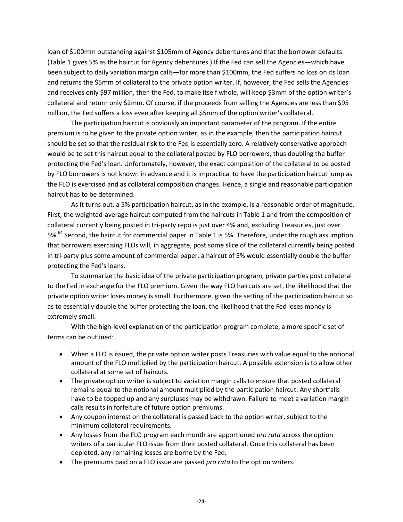loan of \$100mm outstanding against \$105mm of Agency debentures and that the borrower defaults. (Table 1 gives 5% as the haircut for Agency debentures.) If the Fed can sell the Agencies—which have been subject to daily variation margin calls—for more than \$100mm, the Fed suffers no loss on its loan and returns the \$5mm of collateral to the private option writer. If, however, the Fed sells the Agencies and receives only \$97 million, then the Fed, to make itself whole, will keep \$3mm of the option writer's collateral and return only \$2mm. Of course, if the proceeds from selling the Agencies are less than \$95 million, the Fed suffers a loss even after keeping all \$5mm of the option writer's collateral.

The participation haircut is obviously an important parameter of the program. If the entire premium is to be given to the private option writer, as in the example, then the participation haircut should be set so that the residual risk to the Fed is essentially zero. A relatively conservative approach would be to set this haircut equal to the collateral posted by FLO borrowers, thus doubling the buffer protecting the Fed's loan. Unfortunately, however, the exact composition of the collateral to be posted by FLO borrowers is not known in advance and it is impractical to have the participation haircut jump as the FLO is exercised and as collateral composition changes. Hence, a single and reasonable participation haircut has to be determined.

As it turns out, a 5% participation haircut, as in the example, is a reasonable order of magnitude. First, the weighted-average haircut computed from the haircuts in Table 1 and from the composition of collateral currently being posted in tri-party repo is just over 4% and, excluding Treasuries, just over 5%.<sup>64</sup> Second, the haircut for commercial paper in Table 1 is 5%. Therefore, under the rough assumption that borrowers exercising FLOs will, in aggregate, post some slice of the collateral currently being posted in tri-party plus some amount of commercial paper, a haircut of 5% would essentially double the buffer protecting the Fed's loans.

To summarize the basic idea of the private participation program, private parties post collateral to the Fed in exchange for the FLO premium. Given the way FLO haircuts are set, the likelihood that the private option writer loses money is small. Furthermore, given the setting of the participation haircut so as to essentially double the buffer protecting the loan, the likelihood that the Fed loses money is extremely small.

With the high-level explanation of the participation program complete, a more specific set of terms can be outlined:

- When a FLO is issued, the private option writer posts Treasuries with value equal to the notional amount of the FLO multiplied by the participation haircut. A possible extension is to allow other collateral at some set of haircuts.
- The private option writer is subject to variation margin calls to ensure that posted collateral remains equal to the notional amount multiplied by the participation haircut. Any shortfalls have to be topped up and any surpluses may be withdrawn. Failure to meet a variation margin calls results in forfeiture of future option premiums.
- Any coupon interest on the collateral is passed back to the option writer, subject to the minimum collateral requirements.
- Any losses from the FLO program each month are apportioned *pro rata* across the option writers of a particular FLO issue from their posted collateral. Once this collateral has been depleted, any remaining losses are borne by the Fed.
- The premiums paid on a FLO issue are passed *pro rata* to the option writers.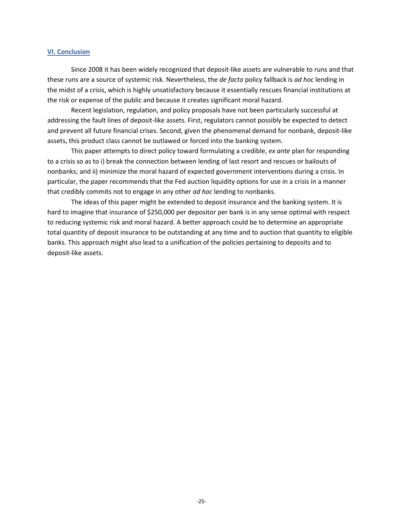#### **VI. Conclusion**

Since 2008 it has been widely recognized that deposit-like assets are vulnerable to runs and that these runs are a source of systemic risk. Nevertheless, the *de facto* policy fallback is *ad hoc* lending in the midst of a crisis, which is highly unsatisfactory because it essentially rescues financial institutions at the risk or expense of the public and because it creates significant moral hazard.

Recent legislation, regulation, and policy proposals have not been particularly successful at addressing the fault lines of deposit-like assets. First, regulators cannot possibly be expected to detect and prevent all future financial crises. Second, given the phenomenal demand for nonbank, deposit-like assets, this product class cannot be outlawed or forced into the banking system.

This paper attempts to direct policy toward formulating a credible, *ex ante* plan for responding to a crisis so as to i) break the connection between lending of last resort and rescues or bailouts of nonbanks; and ii) minimize the moral hazard of expected government interventions during a crisis. In particular, the paper recommends that the Fed auction liquidity options for use in a crisis in a manner that credibly commits not to engage in any other *ad hoc* lending to nonbanks.

The ideas of this paper might be extended to deposit insurance and the banking system. It is hard to imagine that insurance of \$250,000 per depositor per bank is in any sense optimal with respect to reducing systemic risk and moral hazard. A better approach could be to determine an appropriate total quantity of deposit insurance to be outstanding at any time and to auction that quantity to eligible banks. This approach might also lead to a unification of the policies pertaining to deposits and to deposit-like assets.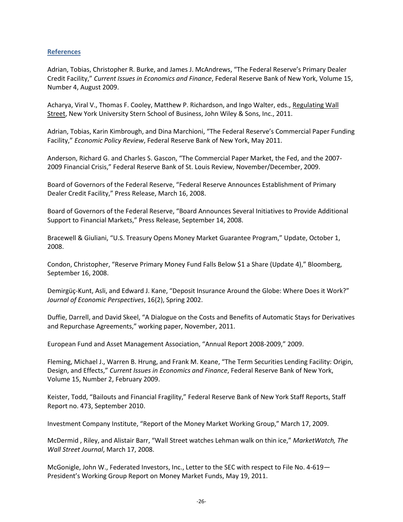# **References**

Adrian, Tobias, Christopher R. Burke, and James J. McAndrews, "The Federal Reserve's Primary Dealer Credit Facility," *Current Issues in Economics and Finance*, Federal Reserve Bank of New York, Volume 15, Number 4, August 2009.

Acharya, Viral V., Thomas F. Cooley, Matthew P. Richardson, and Ingo Walter, eds., Regulating Wall Street, New York University Stern School of Business, John Wiley & Sons, Inc., 2011.

Adrian, Tobias, Karin Kimbrough, and Dina Marchioni, "The Federal Reserve's Commercial Paper Funding Facility," *Economic Policy Review*, Federal Reserve Bank of New York, May 2011.

Anderson, Richard G. and Charles S. Gascon, "The Commercial Paper Market, the Fed, and the 2007- 2009 Financial Crisis," Federal Reserve Bank of St. Louis Review, November/December, 2009.

Board of Governors of the Federal Reserve, "Federal Reserve Announces Establishment of Primary Dealer Credit Facility," Press Release, March 16, 2008.

Board of Governors of the Federal Reserve, "Board Announces Several Initiatives to Provide Additional Support to Financial Markets," Press Release, September 14, 2008.

Bracewell & Giuliani, "U.S. Treasury Opens Money Market Guarantee Program," Update, October 1, 2008.

Condon, Christopher, "Reserve Primary Money Fund Falls Below \$1 a Share (Update 4)," Bloomberg, September 16, 2008.

Demirgüç-Kunt, Asli, and Edward J. Kane, "Deposit Insurance Around the Globe: Where Does it Work?" *Journal of Economic Perspectives*, 16(2), Spring 2002.

Duffie, Darrell, and David Skeel, "A Dialogue on the Costs and Benefits of Automatic Stays for Derivatives and Repurchase Agreements," working paper, November, 2011.

European Fund and Asset Management Association, "Annual Report 2008-2009," 2009.

Fleming, Michael J., Warren B. Hrung, and Frank M. Keane, "The Term Securities Lending Facility: Origin, Design, and Effects," *Current Issues in Economics and Finance*, Federal Reserve Bank of New York, Volume 15, Number 2, February 2009.

Keister, Todd, "Bailouts and Financial Fragility," Federal Reserve Bank of New York Staff Reports, Staff Report no. 473, September 2010.

Investment Company Institute, "Report of the Money Market Working Group," March 17, 2009.

McDermid , Riley, and Alistair Barr, "Wall Street watches Lehman walk on thin ice," *MarketWatch, The Wall Street Journal*, March 17, 2008.

McGonigle, John W., Federated Investors, Inc., Letter to the SEC with respect to File No. 4-619— President's Working Group Report on Money Market Funds, May 19, 2011.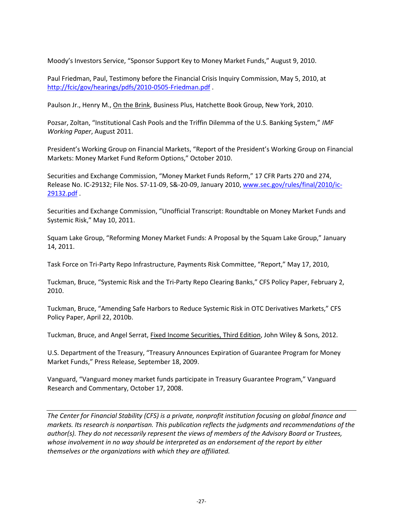Moody's Investors Service, "Sponsor Support Key to Money Market Funds," August 9, 2010.

Paul Friedman, Paul, Testimony before the Financial Crisis Inquiry Commission, May 5, 2010, at <http://fcic/gov/hearings/pdfs/2010-0505-Friedman.pdf> .

Paulson Jr., Henry M., On the Brink, Business Plus, Hatchette Book Group, New York, 2010.

Pozsar, Zoltan, "Institutional Cash Pools and the Triffin Dilemma of the U.S. Banking System," *IMF Working Paper*, August 2011.

President's Working Group on Financial Markets, "Report of the President's Working Group on Financial Markets: Money Market Fund Reform Options," October 2010.

Securities and Exchange Commission, "Money Market Funds Reform," 17 CFR Parts 270 and 274, Release No. IC-29132; File Nos. S7-11-09, S&-20-09, January 2010, [www.sec.gov/rules/final/2010/ic-](http://www.sec.gov/rules/final/2010/ic-29132.pdf)[29132.pdf](http://www.sec.gov/rules/final/2010/ic-29132.pdf) .

Securities and Exchange Commission, "Unofficial Transcript: Roundtable on Money Market Funds and Systemic Risk," May 10, 2011.

Squam Lake Group, "Reforming Money Market Funds: A Proposal by the Squam Lake Group," January 14, 2011.

Task Force on Tri-Party Repo Infrastructure, Payments Risk Committee, "Report," May 17, 2010,

Tuckman, Bruce, "Systemic Risk and the Tri-Party Repo Clearing Banks," CFS Policy Paper, February 2, 2010.

Tuckman, Bruce, "Amending Safe Harbors to Reduce Systemic Risk in OTC Derivatives Markets," CFS Policy Paper, April 22, 2010b.

Tuckman, Bruce, and Angel Serrat, Fixed Income Securities, Third Edition, John Wiley & Sons, 2012.

U.S. Department of the Treasury, "Treasury Announces Expiration of Guarantee Program for Money Market Funds," Press Release, September 18, 2009.

Vanguard, "Vanguard money market funds participate in Treasury Guarantee Program," Vanguard Research and Commentary, October 17, 2008.

*The Center for Financial Stability (CFS) is a private, nonprofit institution focusing on global finance and markets. Its research is nonpartisan. This publication reflects the judgments and recommendations of the author(s). They do not necessarily represent the views of members of the Advisory Board or Trustees, whose involvement in no way should be interpreted as an endorsement of the report by either themselves or the organizations with which they are affiliated.*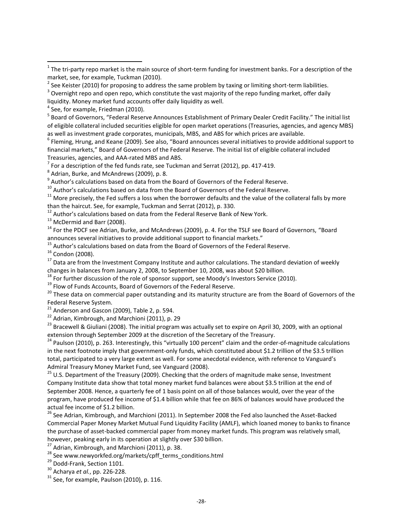$3$  Overnight repo and open repo, which constitute the vast majority of the repo funding market, offer daily liquidity. Money market fund accounts offer daily liquidity as well.

 $<sup>4</sup>$  See, for example, Friedman (2010).</sup>

 $\overline{\phantom{a}}$ 

<sup>5</sup> Board of Governors, "Federal Reserve Announces Establishment of Primary Dealer Credit Facility." The initial list of eligible collateral included securities eligible for open market operations (Treasuries, agencies, and agency MBS) as well as investment grade corporates, municipals, MBS, and ABS for which prices are available.

<sup>6</sup> Fleming, Hrung, and Keane (2009). See also, "Board announces several initiatives to provide additional support to financial markets," Board of Governors of the Federal Reserve. The initial list of eligible collateral included Treasuries, agencies, and AAA-rated MBS and ABS.

 $^7$  For a description of the fed funds rate, see Tuckman and Serrat (2012), pp. 417-419.

 $^8$  Adrian, Burke, and McAndrews (2009), p. 8.

 $^9$  Author's calculations based on data from the Board of Governors of the Federal Reserve.

 $10$  Author's calculations based on data from the Board of Governors of the Federal Reserve.

 $11$  More precisely, the Fed suffers a loss when the borrower defaults and the value of the collateral falls by more than the haircut. See, for example, Tuckman and Serrat (2012), p. 330.

<sup>12</sup> Author's calculations based on data from the Federal Reserve Bank of New York.

<sup>13</sup> McDermid and Barr (2008).

<sup>14</sup> For the PDCF see Adrian, Burke, and McAndrews (2009), p. 4. For the TSLF see Board of Governors, "Board announces several initiatives to provide additional support to financial markets."

<sup>15</sup> Author's calculations based on data from the Board of Governors of the Federal Reserve.

<sup>16</sup> Condon (2008).

<sup>17</sup> Data are from the Investment Company Institute and author calculations. The standard deviation of weekly changes in balances from January 2, 2008, to September 10, 2008, was about \$20 billion.

 $^{18}$  For further discussion of the role of sponsor support, see Moody's Investors Service (2010).

<sup>19</sup> Flow of Funds Accounts, Board of Governors of the Federal Reserve.

<sup>20</sup> These data on commercial paper outstanding and its maturity structure are from the Board of Governors of the Federal Reserve System.

21 Anderson and Gascon (2009), Table 2, p. 594.

<sup>22</sup> Adrian, Kimbrough, and Marchioni (2011), p. 29

<sup>23</sup> Bracewell & Giuliani (2008). The initial program was actually set to expire on April 30, 2009, with an optional extension through September 2009 at the discretion of the Secretary of the Treasury.

<sup>24</sup> Paulson (2010), p. 263. Interestingly, this "virtually 100 percent" claim and the order-of-magnitude calculations in the next footnote imply that government-only funds, which constituted about \$1.2 trillion of the \$3.5 trillion total, participated to a very large extent as well. For some anecdotal evidence, with reference to Vanguard's Admiral Treasury Money Market Fund, see Vanguard (2008).

<sup>25</sup> U.S. Department of the Treasury (2009). Checking that the orders of magnitude make sense, Investment Company Institute data show that total money market fund balances were about \$3.5 trillion at the end of September 2008. Hence, a quarterly fee of 1 basis point on all of those balances would, over the year of the program, have produced fee income of \$1.4 billion while that fee on 86% of balances would have produced the actual fee income of \$1.2 billion.

<sup>26</sup> See Adrian, Kimbrough, and Marchioni (2011). In September 2008 the Fed also launched the Asset-Backed Commercial Paper Money Market Mutual Fund Liquidity Facility (AMLF), which loaned money to banks to finance the purchase of asset-backed commercial paper from money market funds. This program was relatively small, however, peaking early in its operation at slightly over \$30 billion.

 $27$  Adrian, Kimbrough, and Marchioni (2011), p. 38.

<sup>28</sup> See www.newyorkfed.org/markets/cpff\_terms\_conditions.html

<sup>29</sup> Dodd-Frank, Section 1101.

<sup>30</sup> Acharya *et al.*, pp. 226-228.

 $31$  See, for example, Paulson (2010), p. 116.

 $1$  The tri-party repo market is the main source of short-term funding for investment banks. For a description of the market, see, for example, Tuckman (2010).

<sup>&</sup>lt;sup>2</sup> See Keister (2010) for proposing to address the same problem by taxing or limiting short-term liabilities.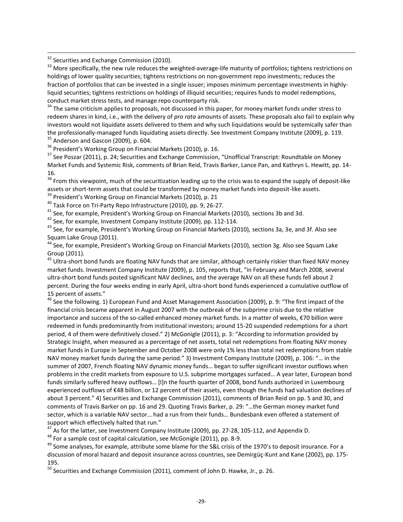<sup>32</sup> Securities and Exchange Commission (2010).

 $\overline{\phantom{a}}$ 

<sup>33</sup> More specifically, the new rule reduces the weighted-average-life maturity of portfolios; tightens restrictions on holdings of lower quality securities; tightens restrictions on non-government repo investments; reduces the fraction of portfolios that can be invested in a single issuer; imposes minimum percentage investments in highlyliquid securities; tightens restrictions on holdings of illiquid securities; requires funds to model redemptions, conduct market stress tests, and manage repo counterparty risk.

<sup>34</sup> The same criticism applies to proposals, not discussed in this paper, for money market funds under stress to redeem shares in kind, i.e., with the delivery of *pro rata* amounts of assets. These proposals also fail to explain why investors would not liquidate assets delivered to them and why such liquidations would be systemically safer than the professionally-managed funds liquidating assets directly. See Investment Company Institute (2009), p. 119.  $35$  Anderson and Gascon (2009), p. 604.

<sup>36</sup> President's Working Group on Financial Markets (2010), p. 16.

<sup>37</sup> See Poszar (2011), p. 24; Securities and Exchange Commission, "Unofficial Transcript: Roundtable on Money Market Funds and Systemic Risk, comments of Brian Reid, Travis Barker, Lance Pan, and Kathryn L. Hewitt, pp. 14- 16.

<sup>38</sup> From this viewpoint, much of the securitization leading up to the crisis was to expand the supply of deposit-like assets or short-term assets that could be transformed by money market funds into deposit-like assets.

<sup>39</sup> President's Working Group on Financial Markets (2010), p. 21

<sup>40</sup> Task Force on Tri-Party Repo Infrastructure (2010), pp. 9, 26-27.

<sup>41</sup> See, for example, President's Working Group on Financial Markets (2010)*,* sections 3b and 3d.

 $42$  See, for example, Investment Company Institute (2009), pp. 112-114.

<sup>43</sup> See, for example, President's Working Group on Financial Markets (2010)*,* sections 3a, 3e, and 3f. Also see Squam Lake Group (2011).

<sup>44</sup> See, for example, President's Working Group on Financial Markets (2010)*,* section 3g. Also see Squam Lake Group (2011)*.*

<sup>45</sup> Ultra-short bond funds are floating NAV funds that are similar, although certainly riskier than fixed NAV money market funds. Investment Company Institute (2009), p. 105, reports that, "in February and March 2008, several ultra-short bond funds posted significant NAV declines, and the average NAV on all these funds fell about 2 percent. During the four weeks ending in early April, ultra-short bond funds experienced a cumulative outflow of 15 percent of assets."

<sup>46</sup> See the following. 1) European Fund and Asset Management Association (2009), p. 9: "The first impact of the financial crisis became apparent in August 2007 with the outbreak of the subprime crisis due to the relative importance and success of the so-called enhanced money market funds. In a matter of weeks, €70 billion were redeemed in funds predominantly from institutional investors; around 15-20 suspended redemptions for a short period, 4 of them were definitively closed." 2) McGonigle (2011), p. 3: "According to information provided by Strategic Insight, when measured as a percentage of net assets, total net redemptions from floating NAV money market funds in Europe in September and October 2008 were only 1% less than total net redemptions from stable NAV money market funds during the same period." 3) Investment Company Institute (2009), p. 106: "… in the summer of 2007, French floating NAV dynamic money funds… began to suffer significant investor outflows when problems in the credit markets from exposure to U.S. subprime mortgages surfaced… A year later, European bond funds similarly suffered heavy outflows… [I]n the fourth quarter of 2008, bond funds authorized in Luxembourg experienced outflows of €48 billion, or 12 percent of their assets, even though the funds had valuation declines of about 3 percent." 4) Securities and Exchange Commission (2011), comments of Brian Reid on pp. 5 and 30, and comments of Travis Barker on pp. 16 and 29. Quoting Travis Barker, p. 29: "…the German money market fund sector, which is a variable NAV sector… had a run from their funds… Bundesbank even offered a statement of support which effectively halted that run."

<sup>47</sup> As for the latter, see Investment Company Institute (2009), pp. 27-28, 105-112, and Appendix D.

<sup>48</sup> For a sample cost of capital calculation, see McGonigle (2011), pp. 8-9.

<sup>49</sup> Some analyses, for example, attribute some blame for the S&L crisis of the 1970's to deposit insurance. For a discussion of moral hazard and deposit insurance across countries, see Demirgüç-Kunt and Kane (2002), pp. 175- 195.

 $50$  Securities and Exchange Commission (2011), comment of John D. Hawke, Jr., p. 26.